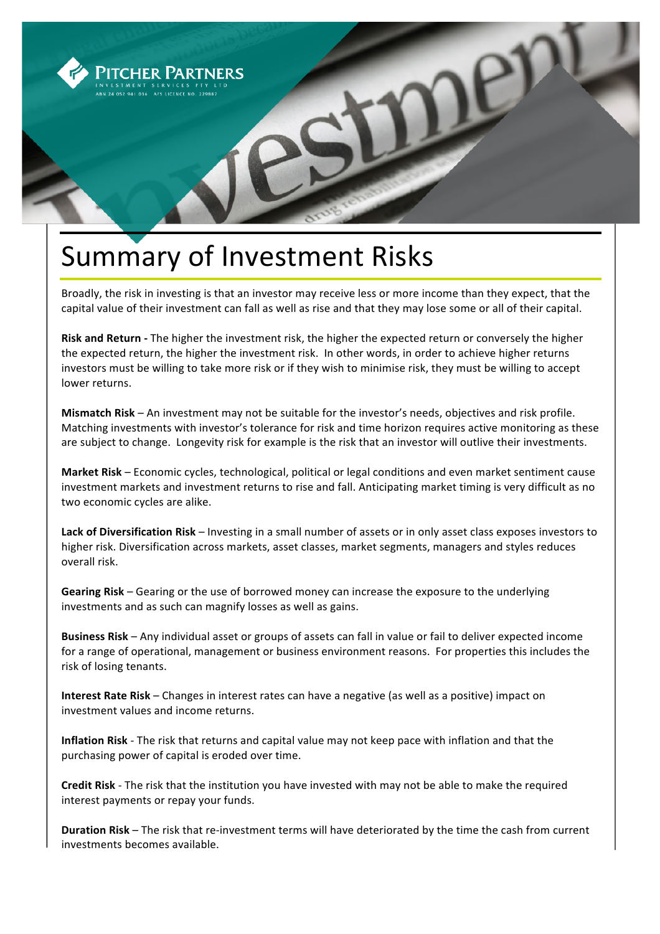

## Summary of Investment Risks

Broadly, the risk in investing is that an investor may receive less or more income than they expect, that the capital value of their investment can fall as well as rise and that they may lose some or all of their capital.

**Risk and Return** - The higher the investment risk, the higher the expected return or conversely the higher the expected return, the higher the investment risk. In other words, in order to achieve higher returns investors must be willing to take more risk or if they wish to minimise risk, they must be willing to accept lower returns.

**Mismatch Risk** – An investment may not be suitable for the investor's needs, objectives and risk profile. Matching investments with investor's tolerance for risk and time horizon requires active monitoring as these are subject to change. Longevity risk for example is the risk that an investor will outlive their investments.

**Market Risk** – Economic cycles, technological, political or legal conditions and even market sentiment cause investment markets and investment returns to rise and fall. Anticipating market timing is very difficult as no two economic cycles are alike.

**Lack of Diversification Risk** – Investing in a small number of assets or in only asset class exposes investors to higher risk. Diversification across markets, asset classes, market segments, managers and styles reduces overall risk.

**Gearing Risk** – Gearing or the use of borrowed money can increase the exposure to the underlying investments and as such can magnify losses as well as gains.

**Business Risk** – Any individual asset or groups of assets can fall in value or fail to deliver expected income for a range of operational, management or business environment reasons. For properties this includes the risk of losing tenants.

**Interest Rate Risk** – Changes in interest rates can have a negative (as well as a positive) impact on investment values and income returns.

**Inflation Risk** - The risk that returns and capital value may not keep pace with inflation and that the purchasing power of capital is eroded over time.

**Credit Risk** - The risk that the institution you have invested with may not be able to make the required interest payments or repay your funds.

**Duration Risk** – The risk that re-investment terms will have deteriorated by the time the cash from current investments becomes available.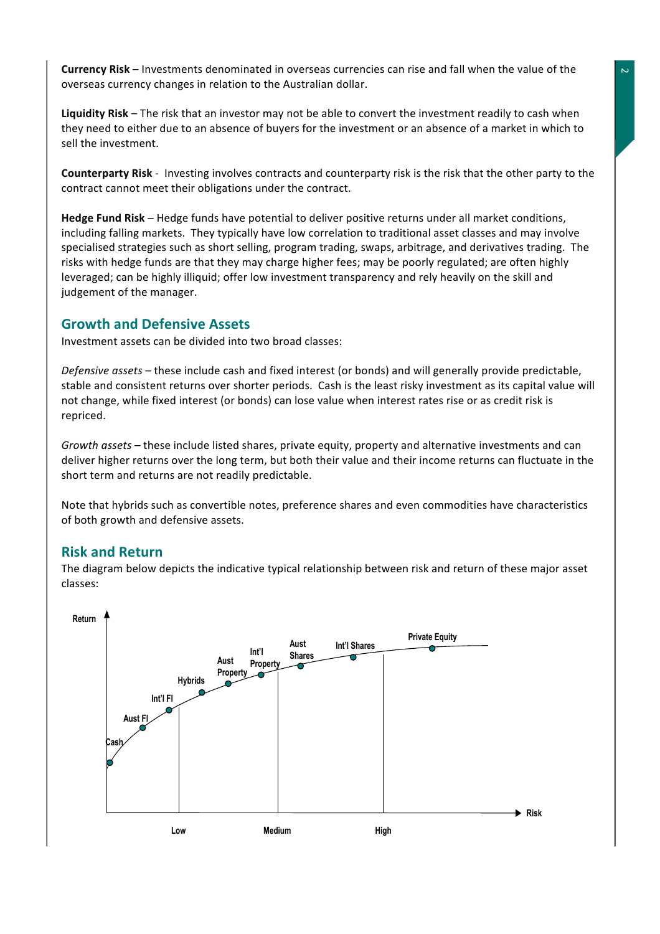**Currency Risk** – Investments denominated in overseas currencies can rise and fall when the value of the overseas currency changes in relation to the Australian dollar.

**Liquidity Risk** – The risk that an investor may not be able to convert the investment readily to cash when they need to either due to an absence of buyers for the investment or an absence of a market in which to sell the investment.

**Counterparty Risk** - Investing involves contracts and counterparty risk is the risk that the other party to the contract cannot meet their obligations under the contract.

**Hedge Fund Risk** – Hedge funds have potential to deliver positive returns under all market conditions, including falling markets. They typically have low correlation to traditional asset classes and may involve specialised strategies such as short selling, program trading, swaps, arbitrage, and derivatives trading. The risks with hedge funds are that they may charge higher fees; may be poorly regulated; are often highly leveraged; can be highly illiquid; offer low investment transparency and rely heavily on the skill and judgement of the manager.

## **Growth and Defensive Assets**

Investment assets can be divided into two broad classes:

*Defensive assets* – these include cash and fixed interest (or bonds) and will generally provide predictable, stable and consistent returns over shorter periods. Cash is the least risky investment as its capital value will not change, while fixed interest (or bonds) can lose value when interest rates rise or as credit risk is repriced.

*Growth assets* – these include listed shares, private equity, property and alternative investments and can deliver higher returns over the long term, but both their value and their income returns can fluctuate in the short term and returns are not readily predictable.

Note that hybrids such as convertible notes, preference shares and even commodities have characteristics of both growth and defensive assets.

## **Risk and Return**

The diagram below depicts the indicative typical relationship between risk and return of these major asset classes: